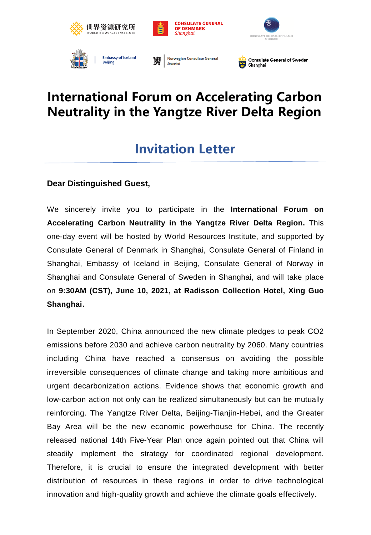







**Embassy of Iceland Beijing** 

Norwegian Consulate General Shangha



## **International Forum on Accelerating Carbon Neutrality in the Yangtze River Delta Region**

## **Invitation Letter**

## **Dear Distinguished Guest,**

We sincerely invite you to participate in the **International Forum on Accelerating Carbon Neutrality in the Yangtze River Delta Region.** This one-day event will be hosted by World Resources Institute, and supported by Consulate General of Denmark in Shanghai, Consulate General of Finland in Shanghai, Embassy of Iceland in Beijing, Consulate General of Norway in Shanghai and Consulate General of Sweden in Shanghai, and will take place on **9:30AM (CST), June 10, 2021, at Radisson Collection Hotel, Xing Guo Shanghai.**

In September 2020, China announced the new climate pledges to peak CO2 emissions before 2030 and achieve carbon neutrality by 2060. Many countries including China have reached a consensus on avoiding the possible irreversible consequences of climate change and taking more ambitious and urgent decarbonization actions. Evidence shows that economic growth and low-carbon action not only can be realized simultaneously but can be mutually reinforcing. The Yangtze River Delta, Beijing-Tianjin-Hebei, and the Greater Bay Area will be the new economic powerhouse for China. The recently released national 14th Five-Year Plan once again pointed out that China will steadily implement the strategy for coordinated regional development. Therefore, it is crucial to ensure the integrated development with better distribution of resources in these regions in order to drive technological innovation and high-quality growth and achieve the climate goals effectively.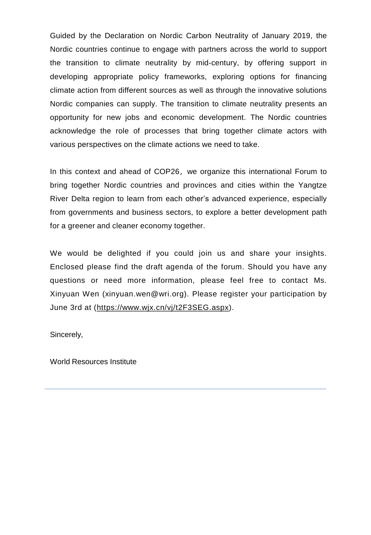Guided by the Declaration on Nordic Carbon Neutrality of January 2019, the Nordic countries continue to engage with partners across the world to support the transition to climate neutrality by mid-century, by offering support in developing appropriate policy frameworks, exploring options for financing climate action from different sources as well as through the innovative solutions Nordic companies can supply. The transition to climate neutrality presents an opportunity for new jobs and economic development. The Nordic countries acknowledge the role of processes that bring together climate actors with various perspectives on the climate actions we need to take.

In this context and ahead of COP26, we organize this international Forum to bring together Nordic countries and provinces and cities within the Yangtze River Delta region to learn from each other's advanced experience, especially from governments and business sectors, to explore a better development path for a greener and cleaner economy together.

We would be delighted if you could join us and share your insights. Enclosed please find the draft agenda of the forum. Should you have any questions or need more information, please feel free to contact Ms. Xinyuan Wen (xinyuan.wen@wri.org). Please register your participation by June 3rd at (<https://www.wjx.cn/vj/t2F3SEG.aspx>).

Sincerely,

World Resources Institute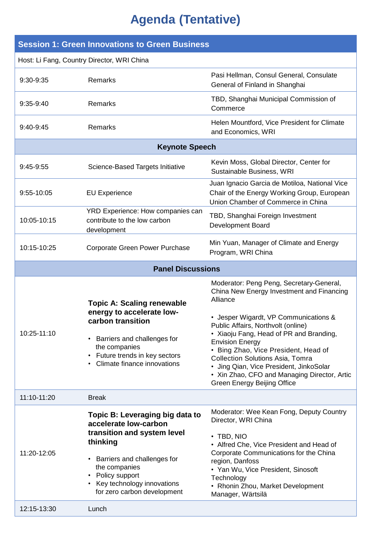## **Agenda (Tentative)**

| <b>Session 1: Green Innovations to Green Business</b> |                                                                                                                                                                                                                                    |                                                                                                                                                                                                                                                                                                                                                                                                                                                                    |  |
|-------------------------------------------------------|------------------------------------------------------------------------------------------------------------------------------------------------------------------------------------------------------------------------------------|--------------------------------------------------------------------------------------------------------------------------------------------------------------------------------------------------------------------------------------------------------------------------------------------------------------------------------------------------------------------------------------------------------------------------------------------------------------------|--|
| Host: Li Fang, Country Director, WRI China            |                                                                                                                                                                                                                                    |                                                                                                                                                                                                                                                                                                                                                                                                                                                                    |  |
| 9:30-9:35                                             | Remarks                                                                                                                                                                                                                            | Pasi Hellman, Consul General, Consulate<br>General of Finland in Shanghai                                                                                                                                                                                                                                                                                                                                                                                          |  |
| 9:35-9:40                                             | Remarks                                                                                                                                                                                                                            | TBD, Shanghai Municipal Commission of<br>Commerce                                                                                                                                                                                                                                                                                                                                                                                                                  |  |
| 9:40-9:45                                             | Remarks                                                                                                                                                                                                                            | Helen Mountford, Vice President for Climate<br>and Economics, WRI                                                                                                                                                                                                                                                                                                                                                                                                  |  |
| <b>Keynote Speech</b>                                 |                                                                                                                                                                                                                                    |                                                                                                                                                                                                                                                                                                                                                                                                                                                                    |  |
| 9:45-9:55                                             | Science-Based Targets Initiative                                                                                                                                                                                                   | Kevin Moss, Global Director, Center for<br>Sustainable Business, WRI                                                                                                                                                                                                                                                                                                                                                                                               |  |
| 9:55-10:05                                            | <b>EU Experience</b>                                                                                                                                                                                                               | Juan Ignacio Garcia de Motiloa, National Vice<br>Chair of the Energy Working Group, European<br>Union Chamber of Commerce in China                                                                                                                                                                                                                                                                                                                                 |  |
| 10:05-10:15                                           | YRD Experience: How companies can<br>contribute to the low carbon<br>development                                                                                                                                                   | TBD, Shanghai Foreign Investment<br>Development Board                                                                                                                                                                                                                                                                                                                                                                                                              |  |
| 10:15-10:25                                           | Corporate Green Power Purchase                                                                                                                                                                                                     | Min Yuan, Manager of Climate and Energy<br>Program, WRI China                                                                                                                                                                                                                                                                                                                                                                                                      |  |
| <b>Panel Discussions</b>                              |                                                                                                                                                                                                                                    |                                                                                                                                                                                                                                                                                                                                                                                                                                                                    |  |
| 10:25-11:10                                           | <b>Topic A: Scaling renewable</b><br>energy to accelerate low-<br>carbon transition<br>Barriers and challenges for<br>the companies<br>Future trends in key sectors<br>Climate finance innovations                                 | Moderator: Peng Peng, Secretary-General,<br>China New Energy Investment and Financing<br>Alliance<br>• Jesper Wigardt, VP Communications &<br>Public Affairs, Northvolt (online)<br>• Xiaoju Fang, Head of PR and Branding,<br><b>Envision Energy</b><br>• Bing Zhao, Vice President, Head of<br><b>Collection Solutions Asia, Tomra</b><br>• Jing Qian, Vice President, JinkoSolar<br>• Xin Zhao, CFO and Managing Director, Artic<br>Green Energy Beijing Office |  |
| 11:10-11:20                                           | <b>Break</b>                                                                                                                                                                                                                       |                                                                                                                                                                                                                                                                                                                                                                                                                                                                    |  |
| 11:20-12:05                                           | Topic B: Leveraging big data to<br>accelerate low-carbon<br>transition and system level<br>thinking<br>Barriers and challenges for<br>the companies<br>Policy support<br>Key technology innovations<br>for zero carbon development | Moderator: Wee Kean Fong, Deputy Country<br>Director, WRI China<br>$\cdot$ TBD, NIO<br>• Alfred Che, Vice President and Head of<br>Corporate Communications for the China<br>region, Danfoss<br>• Yan Wu, Vice President, Sinosoft<br>Technology<br>• Rhonin Zhou, Market Development<br>Manager, Wärtsilä                                                                                                                                                         |  |
| 12:15-13:30                                           | Lunch                                                                                                                                                                                                                              |                                                                                                                                                                                                                                                                                                                                                                                                                                                                    |  |